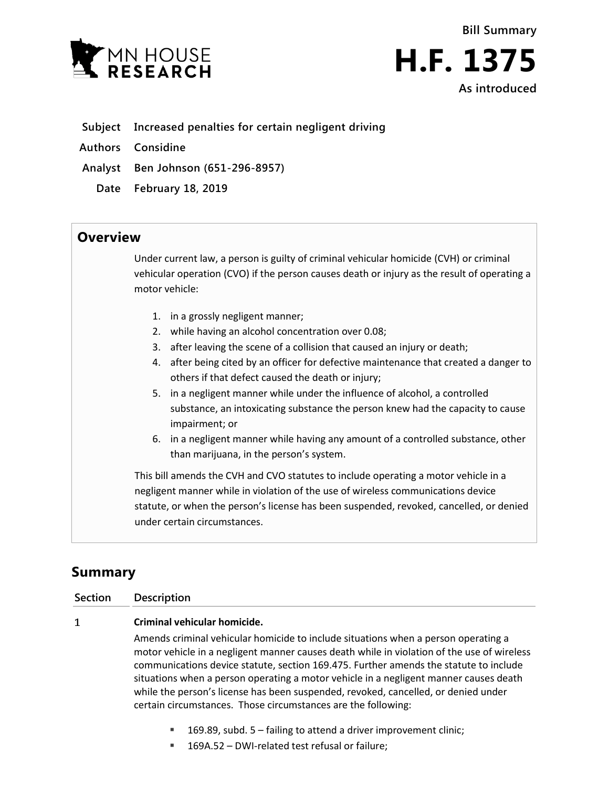



## **Subject Increased penalties for certain negligent driving**

- **Authors Considine**
- **Analyst Ben Johnson (651-296-8957)**
	- **Date February 18, 2019**

## **Overview**

Under current law, a person is guilty of criminal vehicular homicide (CVH) or criminal vehicular operation (CVO) if the person causes death or injury as the result of operating a motor vehicle:

- 1. in a grossly negligent manner;
- 2. while having an alcohol concentration over 0.08;
- 3. after leaving the scene of a collision that caused an injury or death;
- 4. after being cited by an officer for defective maintenance that created a danger to others if that defect caused the death or injury;
- 5. in a negligent manner while under the influence of alcohol, a controlled substance, an intoxicating substance the person knew had the capacity to cause impairment; or
- 6. in a negligent manner while having any amount of a controlled substance, other than marijuana, in the person's system.

This bill amends the CVH and CVO statutes to include operating a motor vehicle in a negligent manner while in violation of the use of wireless communications device statute, or when the person's license has been suspended, revoked, cancelled, or denied under certain circumstances.

# **Summary**

## **Section Description**

#### $\mathbf{1}$ **Criminal vehicular homicide.**

Amends criminal vehicular homicide to include situations when a person operating a motor vehicle in a negligent manner causes death while in violation of the use of wireless communications device statute, section 169.475. Further amends the statute to include situations when a person operating a motor vehicle in a negligent manner causes death while the person's license has been suspended, revoked, cancelled, or denied under certain circumstances. Those circumstances are the following:

- 169.89, subd. 5 failing to attend a driver improvement clinic;
- 169A.52 DWI-related test refusal or failure: